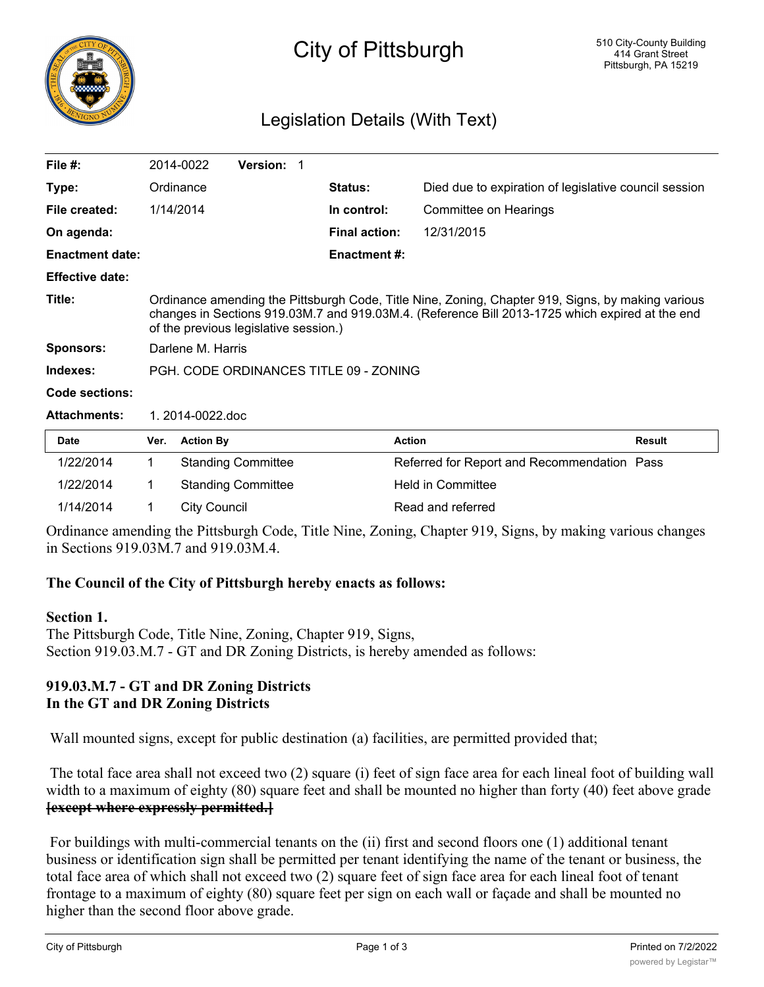

# City of Pittsburgh

## Legislation Details (With Text)

| File $#$ :             | 2014-0022                                                                                                                                                                                                                                     | <b>Version: 1</b> |  |                      |                                                       |  |
|------------------------|-----------------------------------------------------------------------------------------------------------------------------------------------------------------------------------------------------------------------------------------------|-------------------|--|----------------------|-------------------------------------------------------|--|
| Type:                  | Ordinance                                                                                                                                                                                                                                     |                   |  | <b>Status:</b>       | Died due to expiration of legislative council session |  |
| File created:          | 1/14/2014                                                                                                                                                                                                                                     |                   |  | In control:          | Committee on Hearings                                 |  |
| On agenda:             |                                                                                                                                                                                                                                               |                   |  | <b>Final action:</b> | 12/31/2015                                            |  |
| <b>Enactment date:</b> |                                                                                                                                                                                                                                               |                   |  | Enactment #:         |                                                       |  |
| <b>Effective date:</b> |                                                                                                                                                                                                                                               |                   |  |                      |                                                       |  |
| Title:                 | Ordinance amending the Pittsburgh Code, Title Nine, Zoning, Chapter 919, Signs, by making various<br>changes in Sections 919.03M.7 and 919.03M.4. (Reference Bill 2013-1725 which expired at the end<br>of the previous legislative session.) |                   |  |                      |                                                       |  |
| <b>Sponsors:</b>       | Darlene M. Harris                                                                                                                                                                                                                             |                   |  |                      |                                                       |  |
| Indexes:               | PGH, CODE ORDINANCES TITLE 09 - ZONING                                                                                                                                                                                                        |                   |  |                      |                                                       |  |
| Code sections:         |                                                                                                                                                                                                                                               |                   |  |                      |                                                       |  |
| <b>Attachments:</b>    | 1.2014-0022.doc                                                                                                                                                                                                                               |                   |  |                      |                                                       |  |

| <b>Date</b> | Ver. | <b>Action By</b>          | <b>Action</b>                               | <b>Result</b> |
|-------------|------|---------------------------|---------------------------------------------|---------------|
| 1/22/2014   |      | <b>Standing Committee</b> | Referred for Report and Recommendation Pass |               |
| 1/22/2014   |      | <b>Standing Committee</b> | Held in Committee                           |               |
| 1/14/2014   |      | City Council              | Read and referred                           |               |

Ordinance amending the Pittsburgh Code, Title Nine, Zoning, Chapter 919, Signs, by making various changes in Sections 919.03M.7 and 919.03M.4.

#### **The Council of the City of Pittsburgh hereby enacts as follows:**

#### **Section 1.**

The Pittsburgh Code, Title Nine, Zoning, Chapter 919, Signs, Section 919.03.M.7 - GT and DR Zoning Districts, is hereby amended as follows:

### **919.03.M.7 - GT and DR Zoning Districts In the GT and DR Zoning Districts**

Wall mounted signs, except for public destination (a) facilities, are permitted provided that;

 The total face area shall not exceed two (2) square (i) feet of sign face area for each lineal foot of building wall width to a maximum of eighty (80) square feet and shall be mounted no higher than forty (40) feet above grade **[except where expressly permitted.]**

 For buildings with multi-commercial tenants on the (ii) first and second floors one (1) additional tenant business or identification sign shall be permitted per tenant identifying the name of the tenant or business, the total face area of which shall not exceed two (2) square feet of sign face area for each lineal foot of tenant frontage to a maximum of eighty (80) square feet per sign on each wall or façade and shall be mounted no higher than the second floor above grade.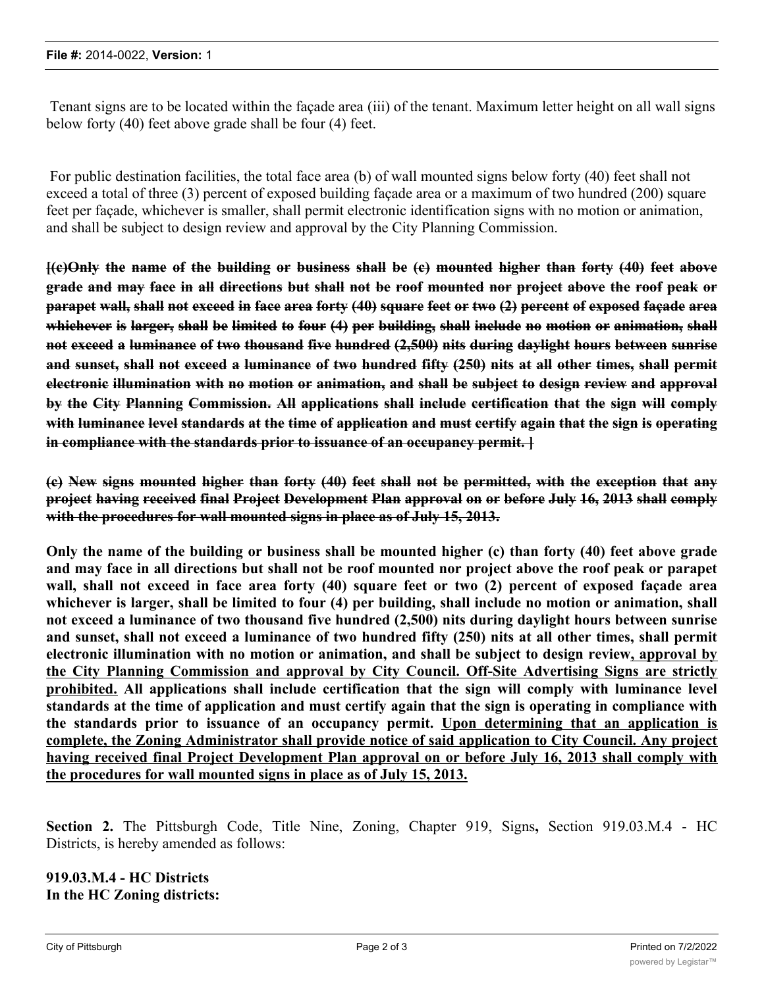Tenant signs are to be located within the façade area (iii) of the tenant. Maximum letter height on all wall signs below forty (40) feet above grade shall be four (4) feet.

 For public destination facilities, the total face area (b) of wall mounted signs below forty (40) feet shall not exceed a total of three (3) percent of exposed building façade area or a maximum of two hundred (200) square feet per façade, whichever is smaller, shall permit electronic identification signs with no motion or animation, and shall be subject to design review and approval by the City Planning Commission.

 $\frac{1}{12}$  (c)Only the name of the building or business shall be (c) mounted higher than forty (40) feet above grade and may face in all directions but shall not be roof mounted nor project above the roof peak or parapet wall, shall not exceed in face area forty (40) square feet or two (2) percent of exposed façade area whichever is larger, shall be limited to four (4) per building, shall include no motion or animation, shall **not exceed a luminance of two thousand five hundred (2,500) nits during daylight hours between sunrise** and sunset, shall not exceed a luminance of two hundred fifty (250) nits at all other times, shall permit **electronic illumination with no motion or animation, and shall be subject to design review and approval by the City Planning Commission. All applications shall include certification that the sign will comply** with luminance level standards at the time of application and must certify again that the sign is operating **in compliance with the standards prior to issuance of an occupancy permit. ]**

(e) New signs mounted higher than forty (40) feet shall not be permitted, with the exception that any **project having received final Project Development Plan approval on or before July 16, 2013 shall comply with the procedures for wall mounted signs in place as of July 15, 2013.**

Only the name of the building or business shall be mounted higher (c) than forty (40) feet above grade and may face in all directions but shall not be roof mounted nor project above the roof peak or parapet wall, shall not exceed in face area forty (40) square feet or two (2) percent of exposed façade area whichever is larger, shall be limited to four (4) per building, shall include no motion or animation, shall **not exceed a luminance of two thousand five hundred (2,500) nits during daylight hours between sunrise** and sunset, shall not exceed a luminance of two hundred fifty (250) nits at all other times, shall permit **electronic illumination with no motion or animation, and shall be subject to design review, approval by the City Planning Commission and approval by City Council. Off-Site Advertising Signs are strictly prohibited. All applications shall include certification that the sign will comply with luminance level** standards at the time of application and must certify again that the sign is operating in compliance with **the standards prior to issuance of an occupancy permit. Upon determining that an application is complete, the Zoning Administrator shall provide notice of said application to City Council. Any project having received final Project Development Plan approval on or before July 16, 2013 shall comply with the procedures for wall mounted signs in place as of July 15, 2013.**

**Section 2.** The Pittsburgh Code, Title Nine, Zoning, Chapter 919, Signs**,** Section 919.03.M.4 - HC Districts, is hereby amended as follows:

**919.03.M.4 - HC Districts In the HC Zoning districts:**

(a) Wall mounted signs are permitted that that the total face are attached to a wall shall not exceed to a wall shall not exceed to a wall shall not exceed to a wall shall not exceed to a wall shall not exceed to a wall s